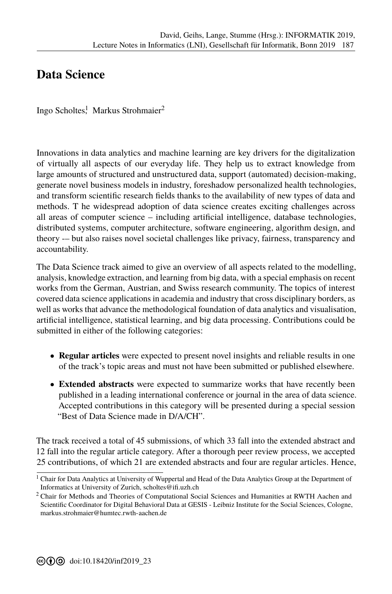## **[D](#page--1-0)ata Science**

Ingo Scholtes<sup>1</sup>, Markus Strohmaier<sup>2</sup>

Innovations in data analytics and machine learning are key drivers for the digitalization of virtually all aspects of our everyday life. They help us to extract knowledge from large amounts of structured and unstructured data, support (automated) decision-making, generate novel business models in industry, foreshadow personalized health technologies, and transform scientific research fields thanks to the availability of new types of data and methods. T he widespread adoption of data science creates exciting challenges across all areas of computer science  $-$  including artificial intelligence, database technologies, distributed systems, computer architecture, software engineering, algorithm design, and theory -- but also raises novel societal challenges like privacy, fairness, transparency and accountability.

The Data Science track aimed to give an overview of all aspects related to the modelling, analysis, knowledge extraction, and learning from big data, with a special emphasis on recent works from the German, Austrian, and Swiss research community. The topics of interest covered data science applications in academia and industry that cross disciplinary borders, as well as works that advance the methodological foundation of data analytics and visualisation, artificial intelligence, statistical learning, and big data processing. Contributions could be submitted in either of the following categories:

- **Regular articles** were expected to present novel insights and reliable results in one of the track's topic areas and must not have been submitted or published elsewhere.
- **Extended abstracts** were expected to summarize works that have recently been published in a leading international conference or journal in the area of data science. Accepted contributions in this category will be presented during a special session "Best of Data Science made in D/A/CH".

The track received a total of 45 submissions, of which 33 fall into the extended abstract and 12 fall into the regular article category. After a thorough peer review process, we accepted 25 contributions, of which 21 are extended abstracts and four are regular articles. Hence,

 $1$  Chair for Data Analytics at University of Wuppertal and Head of the Data Analytics Group at the Department of Informatics at University of Zurich, scholtes@ifi.uzh.ch

<sup>2</sup> Chair for Methods and Theories of Computational Social Sciences and Humanities at RWTH Aachen and Scientific Coordinator for Digital Behavioral Data at GESIS - Leibniz Institute for the Social Sciences, Cologne, markus.strohmaier@humtec.rwth-aachen.de